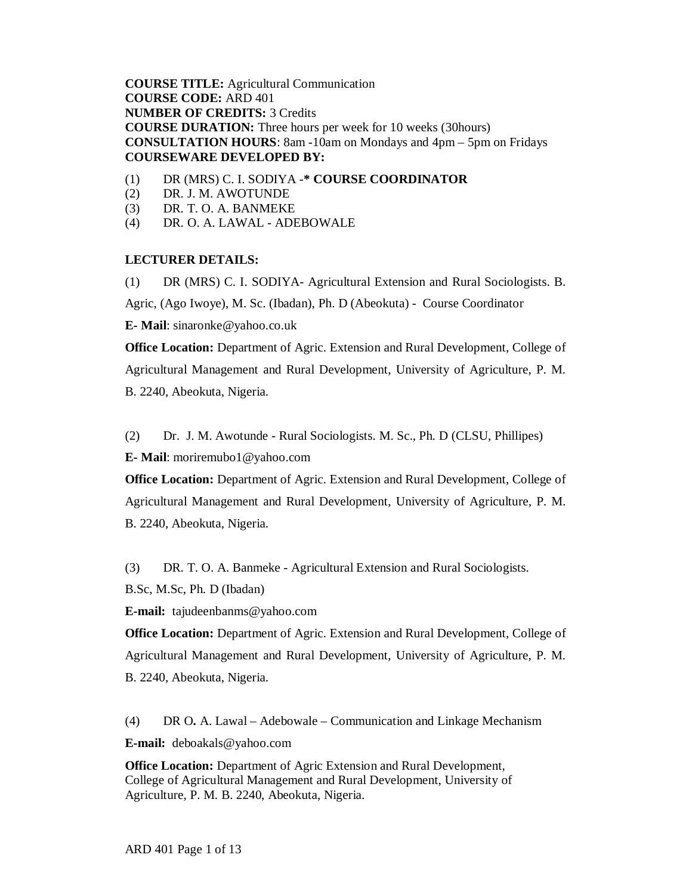**COURSE TITLE:** Agricultural Communication **COURSE CODE:** ARD 401 **NUMBER OF CREDITS:** 3 Credits **COURSE DURATION:** Three hours per week for 10 weeks (30hours) **CONSULTATION HOURS**: 8am -10am on Mondays and 4pm – 5pm on Fridays **COURSEWARE DEVELOPED BY:** 

- (1) DR (MRS) C. I. SODIYA -**\* COURSE COORDINATOR**
- (2) DR. J. M. AWOTUNDE
- (3) DR. T. O. A. BANMEKE
- (4) DR. O. A. LAWAL ADEBOWALE

## **LECTURER DETAILS:**

(1) DR (MRS) C. I. SODIYA- Agricultural Extension and Rural Sociologists. B.

Agric, (Ago Iwoye), M. Sc. (Ibadan), Ph. D (Abeokuta) - Course Coordinator

**E- Mail**: sinaronke@yahoo.co.uk

**Office Location:** Department of Agric. Extension and Rural Development, College of Agricultural Management and Rural Development, University of Agriculture, P. M. B. 2240, Abeokuta, Nigeria.

(2) Dr. J. M. Awotunde - Rural Sociologists. M. Sc., Ph. D (CLSU, Phillipes)

**E- Mail**: moriremubo1@yahoo.com

**Office Location:** Department of Agric. Extension and Rural Development, College of Agricultural Management and Rural Development, University of Agriculture, P. M. B. 2240, Abeokuta, Nigeria.

(3) DR. T. O. A. Banmeke - Agricultural Extension and Rural Sociologists.

B.Sc, M.Sc, Ph. D (Ibadan)

**E-mail:** tajudeenbanms@yahoo.com

**Office Location:** Department of Agric. Extension and Rural Development, College of Agricultural Management and Rural Development, University of Agriculture, P. M. B. 2240, Abeokuta, Nigeria.

(4) DR O**.** A. Lawal – Adebowale – Communication and Linkage Mechanism

**E-mail:** deboakals@yahoo.com

**Office Location:** Department of Agric Extension and Rural Development, College of Agricultural Management and Rural Development, University of Agriculture, P. M. B. 2240, Abeokuta, Nigeria.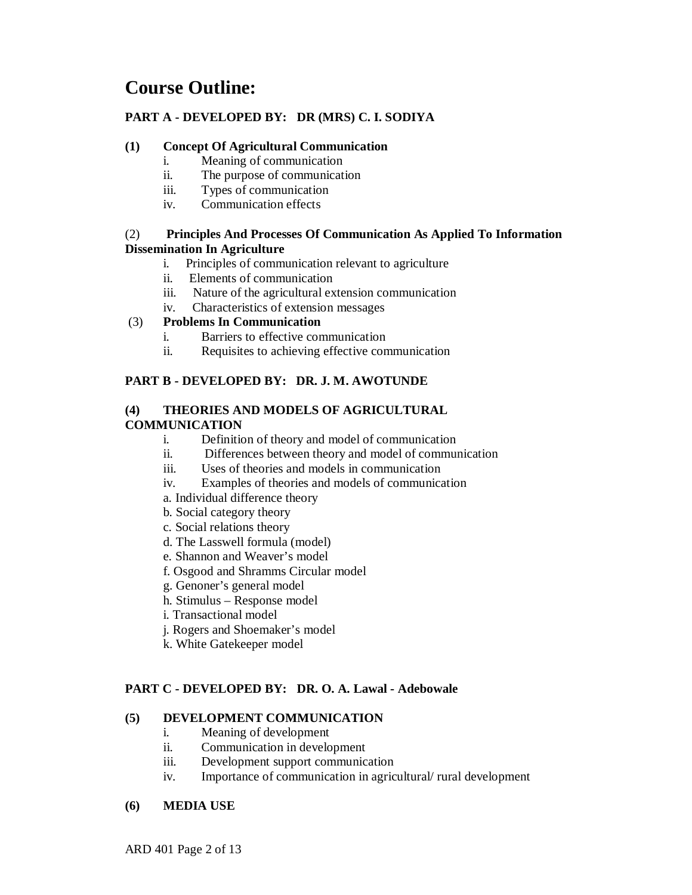## **Course Outline:**

## **PART A - DEVELOPED BY: DR (MRS) C. I. SODIYA**

## **(1) Concept Of Agricultural Communication**

- i. Meaning of communication
- ii. The purpose of communication
- iii. Types of communication
- iv. Communication effects

## (2) **Principles And Processes Of Communication As Applied To Information Dissemination In Agriculture**

- i. Principles of communication relevant to agriculture
- ii. Elements of communication
- iii. Nature of the agricultural extension communication
- iv. Characteristics of extension messages

## (3) **Problems In Communication**

- i. Barriers to effective communication
- ii. Requisites to achieving effective communication

## **PART B - DEVELOPED BY: DR. J. M. AWOTUNDE**

# **(4) THEORIES AND MODELS OF AGRICULTURAL**

## **COMMUNICATION**

- i. Definition of theory and model of communication
- ii. Differences between theory and model of communication
- iii. Uses of theories and models in communication
- iv. Examples of theories and models of communication
- a. Individual difference theory
- b. Social category theory
- c. Social relations theory
- d. The Lasswell formula (model)
- e. Shannon and Weaver's model
- f. Osgood and Shramms Circular model
- g. Genoner's general model
- h. Stimulus Response model
- i. Transactional model
- j. Rogers and Shoemaker's model
- k. White Gatekeeper model

## **PART C - DEVELOPED BY: DR. O. A. Lawal - Adebowale**

## **(5) DEVELOPMENT COMMUNICATION**

- i. Meaning of development
- ii. Communication in development
- iii. Development support communication
- iv. Importance of communication in agricultural/ rural development

#### **(6) MEDIA USE**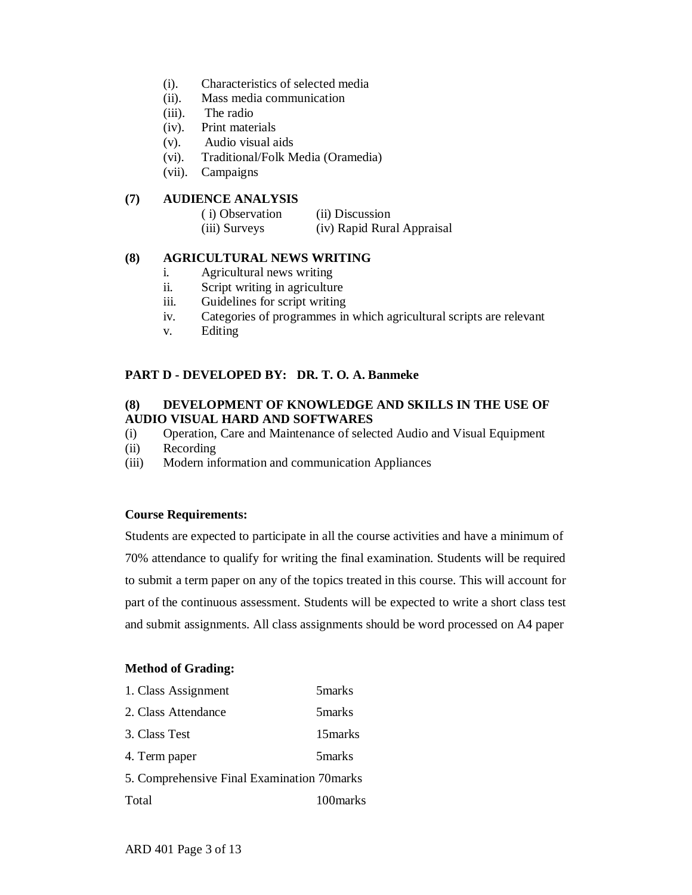- (i). Characteristics of selected media
- (ii). Mass media communication
- (iii). The radio
- (iv). Print materials
- (v). Audio visual aids
- (vi). Traditional/Folk Media (Oramedia)
- (vii). Campaigns

## **(7) AUDIENCE ANALYSIS**

| (i) Observation | (ii) Discussion            |
|-----------------|----------------------------|
| (iii) Surveys   | (iv) Rapid Rural Appraisal |

## **(8) AGRICULTURAL NEWS WRITING**

- i. Agricultural news writing
- ii. Script writing in agriculture
- iii. Guidelines for script writing
- iv. Categories of programmes in which agricultural scripts are relevant
- v. Editing

## **PART D - DEVELOPED BY: DR. T. O. A. Banmeke**

## **(8) DEVELOPMENT OF KNOWLEDGE AND SKILLS IN THE USE OF AUDIO VISUAL HARD AND SOFTWARES**

- (i) Operation, Care and Maintenance of selected Audio and Visual Equipment
- (ii) Recording
- (iii) Modern information and communication Appliances

#### **Course Requirements:**

Students are expected to participate in all the course activities and have a minimum of 70% attendance to qualify for writing the final examination. Students will be required to submit a term paper on any of the topics treated in this course. This will account for part of the continuous assessment. Students will be expected to write a short class test and submit assignments. All class assignments should be word processed on A4 paper

#### **Method of Grading:**

| 1. Class Assignment                        | 5 marks   |
|--------------------------------------------|-----------|
| 2. Class Attendance                        | 5 marks   |
| 3. Class Test                              | 15 marks  |
| 4. Term paper                              | 5 marks   |
| 5. Comprehensive Final Examination 70marks |           |
| Total                                      | 100 marks |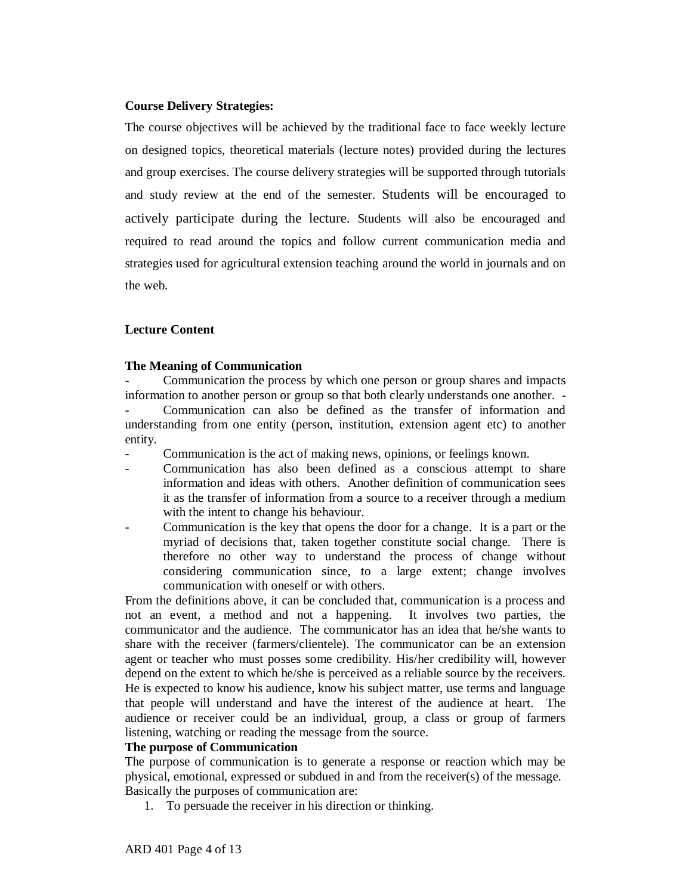#### **Course Delivery Strategies:**

The course objectives will be achieved by the traditional face to face weekly lecture on designed topics, theoretical materials (lecture notes) provided during the lectures and group exercises. The course delivery strategies will be supported through tutorials and study review at the end of the semester. Students will be encouraged to actively participate during the lecture. Students will also be encouraged and required to read around the topics and follow current communication media and strategies used for agricultural extension teaching around the world in journals and on the web.

#### **Lecture Content**

#### **The Meaning of Communication**

- Communication the process by which one person or group shares and impacts information to another person or group so that both clearly understands one another. - Communication can also be defined as the transfer of information and understanding from one entity (person, institution, extension agent etc) to another entity.

Communication is the act of making news, opinions, or feelings known.

- Communication has also been defined as a conscious attempt to share information and ideas with others. Another definition of communication sees it as the transfer of information from a source to a receiver through a medium with the intent to change his behaviour.
- Communication is the key that opens the door for a change. It is a part or the myriad of decisions that, taken together constitute social change. There is therefore no other way to understand the process of change without considering communication since, to a large extent; change involves communication with oneself or with others.

From the definitions above, it can be concluded that, communication is a process and not an event, a method and not a happening. It involves two parties, the communicator and the audience. The communicator has an idea that he/she wants to share with the receiver (farmers/clientele). The communicator can be an extension agent or teacher who must posses some credibility. His/her credibility will, however depend on the extent to which he/she is perceived as a reliable source by the receivers. He is expected to know his audience, know his subject matter, use terms and language that people will understand and have the interest of the audience at heart. The audience or receiver could be an individual, group, a class or group of farmers listening, watching or reading the message from the source.

#### **The purpose of Communication**

The purpose of communication is to generate a response or reaction which may be physical, emotional, expressed or subdued in and from the receiver(s) of the message. Basically the purposes of communication are:

1. To persuade the receiver in his direction or thinking.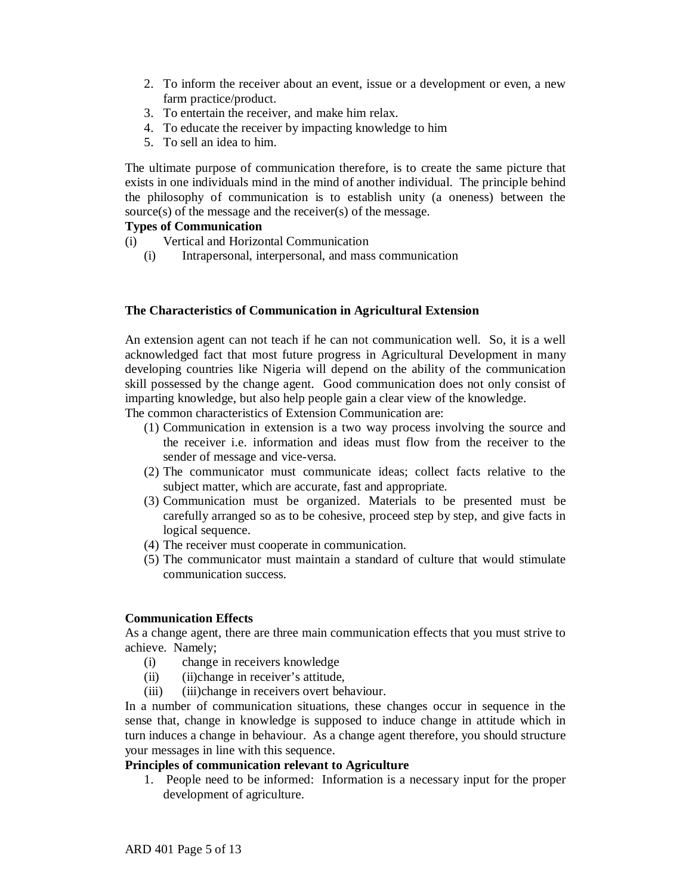- 2. To inform the receiver about an event, issue or a development or even, a new farm practice/product.
- 3. To entertain the receiver, and make him relax.
- 4. To educate the receiver by impacting knowledge to him
- 5. To sell an idea to him.

The ultimate purpose of communication therefore, is to create the same picture that exists in one individuals mind in the mind of another individual. The principle behind the philosophy of communication is to establish unity (a oneness) between the source(s) of the message and the receiver(s) of the message.

## **Types of Communication**

- (i) Vertical and Horizontal Communication
	- (i) Intrapersonal, interpersonal, and mass communication

## **The Characteristics of Communication in Agricultural Extension**

An extension agent can not teach if he can not communication well. So, it is a well acknowledged fact that most future progress in Agricultural Development in many developing countries like Nigeria will depend on the ability of the communication skill possessed by the change agent. Good communication does not only consist of imparting knowledge, but also help people gain a clear view of the knowledge.

The common characteristics of Extension Communication are:

- (1) Communication in extension is a two way process involving the source and the receiver i.e. information and ideas must flow from the receiver to the sender of message and vice-versa.
- (2) The communicator must communicate ideas; collect facts relative to the subject matter, which are accurate, fast and appropriate.
- (3) Communication must be organized. Materials to be presented must be carefully arranged so as to be cohesive, proceed step by step, and give facts in logical sequence.
- (4) The receiver must cooperate in communication.
- (5) The communicator must maintain a standard of culture that would stimulate communication success.

#### **Communication Effects**

As a change agent, there are three main communication effects that you must strive to achieve. Namely;

- (i) change in receivers knowledge
- (ii) (ii)change in receiver's attitude,
- (iii) (iii)change in receivers overt behaviour.

In a number of communication situations, these changes occur in sequence in the sense that, change in knowledge is supposed to induce change in attitude which in turn induces a change in behaviour. As a change agent therefore, you should structure your messages in line with this sequence.

## **Principles of communication relevant to Agriculture**

1. People need to be informed: Information is a necessary input for the proper development of agriculture.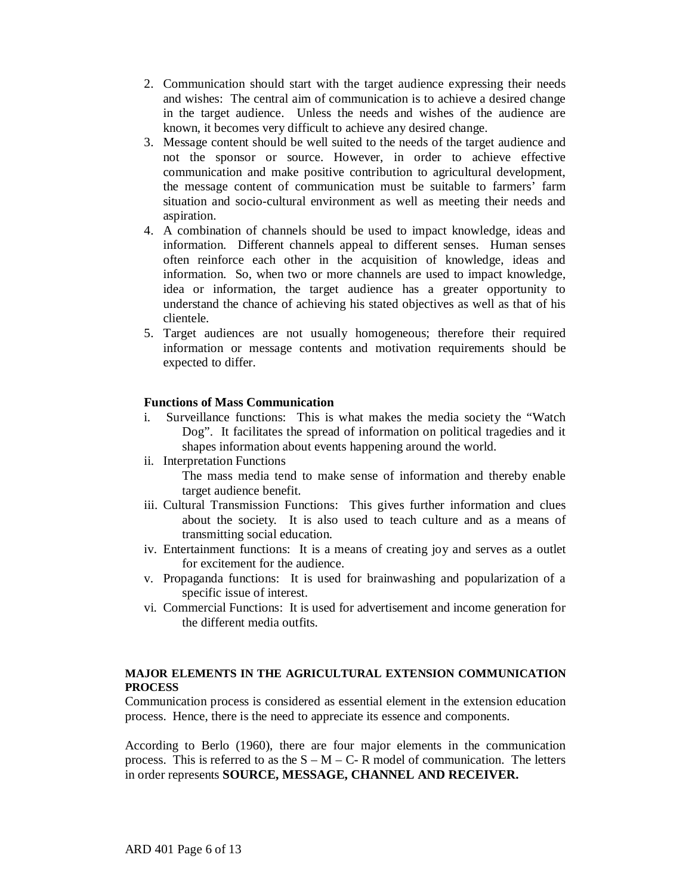- 2. Communication should start with the target audience expressing their needs and wishes: The central aim of communication is to achieve a desired change in the target audience. Unless the needs and wishes of the audience are known, it becomes very difficult to achieve any desired change.
- 3. Message content should be well suited to the needs of the target audience and not the sponsor or source. However, in order to achieve effective communication and make positive contribution to agricultural development, the message content of communication must be suitable to farmers' farm situation and socio-cultural environment as well as meeting their needs and aspiration.
- 4. A combination of channels should be used to impact knowledge, ideas and information. Different channels appeal to different senses. Human senses often reinforce each other in the acquisition of knowledge, ideas and information. So, when two or more channels are used to impact knowledge, idea or information, the target audience has a greater opportunity to understand the chance of achieving his stated objectives as well as that of his clientele.
- 5. Target audiences are not usually homogeneous; therefore their required information or message contents and motivation requirements should be expected to differ.

#### **Functions of Mass Communication**

- i. Surveillance functions: This is what makes the media society the "Watch Dog". It facilitates the spread of information on political tragedies and it shapes information about events happening around the world.
- ii. Interpretation Functions

The mass media tend to make sense of information and thereby enable target audience benefit.

- iii. Cultural Transmission Functions: This gives further information and clues about the society. It is also used to teach culture and as a means of transmitting social education.
- iv. Entertainment functions: It is a means of creating joy and serves as a outlet for excitement for the audience.
- v. Propaganda functions: It is used for brainwashing and popularization of a specific issue of interest.
- vi. Commercial Functions: It is used for advertisement and income generation for the different media outfits.

#### **MAJOR ELEMENTS IN THE AGRICULTURAL EXTENSION COMMUNICATION PROCESS**

Communication process is considered as essential element in the extension education process. Hence, there is the need to appreciate its essence and components.

According to Berlo (1960), there are four major elements in the communication process. This is referred to as the  $S - M - C - R$  model of communication. The letters in order represents **SOURCE, MESSAGE, CHANNEL AND RECEIVER.**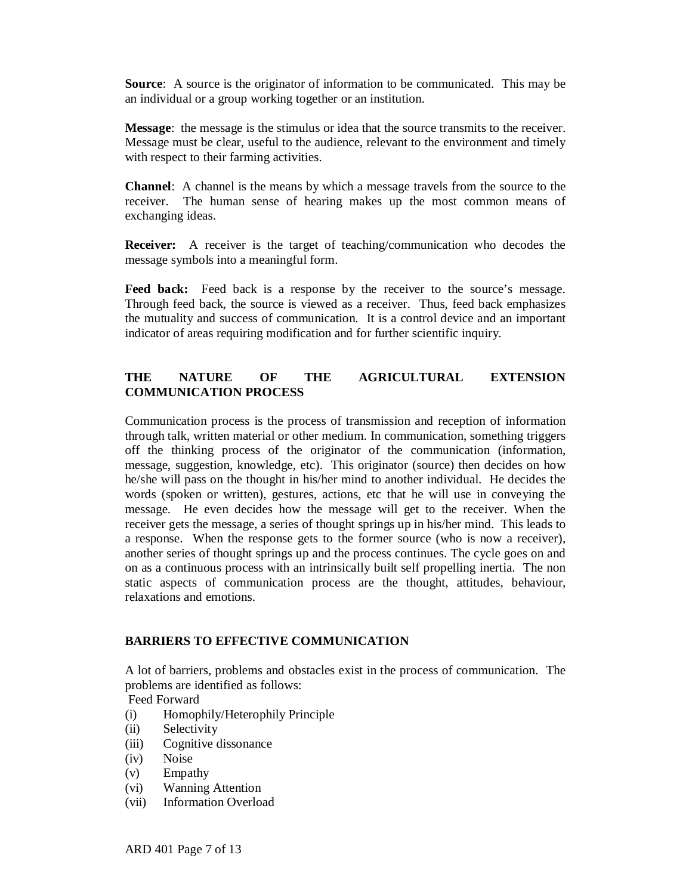**Source**: A source is the originator of information to be communicated. This may be an individual or a group working together or an institution.

**Message**: the message is the stimulus or idea that the source transmits to the receiver. Message must be clear, useful to the audience, relevant to the environment and timely with respect to their farming activities.

**Channel**: A channel is the means by which a message travels from the source to the receiver. The human sense of hearing makes up the most common means of exchanging ideas.

**Receiver:** A receiver is the target of teaching/communication who decodes the message symbols into a meaningful form.

Feed back: Feed back is a response by the receiver to the source's message. Through feed back, the source is viewed as a receiver. Thus, feed back emphasizes the mutuality and success of communication. It is a control device and an important indicator of areas requiring modification and for further scientific inquiry.

## **THE NATURE OF THE AGRICULTURAL EXTENSION COMMUNICATION PROCESS**

Communication process is the process of transmission and reception of information through talk, written material or other medium. In communication, something triggers off the thinking process of the originator of the communication (information, message, suggestion, knowledge, etc). This originator (source) then decides on how he/she will pass on the thought in his/her mind to another individual. He decides the words (spoken or written), gestures, actions, etc that he will use in conveying the message. He even decides how the message will get to the receiver. When the receiver gets the message, a series of thought springs up in his/her mind. This leads to a response. When the response gets to the former source (who is now a receiver), another series of thought springs up and the process continues. The cycle goes on and on as a continuous process with an intrinsically built self propelling inertia. The non static aspects of communication process are the thought, attitudes, behaviour, relaxations and emotions.

#### **BARRIERS TO EFFECTIVE COMMUNICATION**

A lot of barriers, problems and obstacles exist in the process of communication. The problems are identified as follows:

Feed Forward

- (i) Homophily/Heterophily Principle
- (ii) Selectivity
- (iii) Cognitive dissonance
- (iv) Noise
- (v) Empathy
- (vi) Wanning Attention
- (vii) Information Overload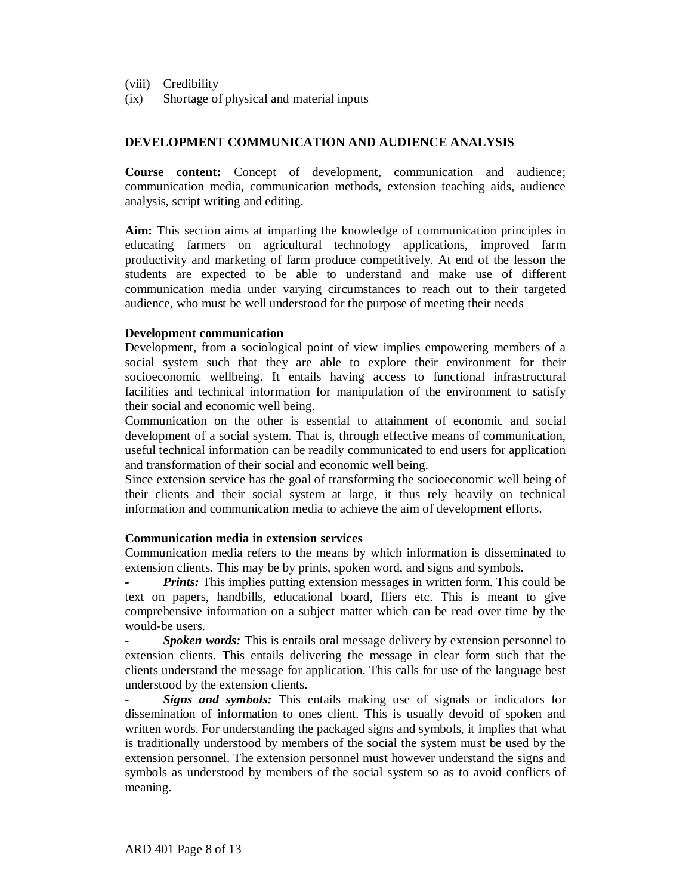- (viii) Credibility
- (ix) Shortage of physical and material inputs

#### **DEVELOPMENT COMMUNICATION AND AUDIENCE ANALYSIS**

**Course content:** Concept of development, communication and audience; communication media, communication methods, extension teaching aids, audience analysis, script writing and editing.

**Aim:** This section aims at imparting the knowledge of communication principles in educating farmers on agricultural technology applications, improved farm productivity and marketing of farm produce competitively. At end of the lesson the students are expected to be able to understand and make use of different communication media under varying circumstances to reach out to their targeted audience, who must be well understood for the purpose of meeting their needs

#### **Development communication**

Development, from a sociological point of view implies empowering members of a social system such that they are able to explore their environment for their socioeconomic wellbeing. It entails having access to functional infrastructural facilities and technical information for manipulation of the environment to satisfy their social and economic well being.

Communication on the other is essential to attainment of economic and social development of a social system. That is, through effective means of communication, useful technical information can be readily communicated to end users for application and transformation of their social and economic well being.

Since extension service has the goal of transforming the socioeconomic well being of their clients and their social system at large, it thus rely heavily on technical information and communication media to achieve the aim of development efforts.

#### **Communication media in extension services**

Communication media refers to the means by which information is disseminated to extension clients. This may be by prints, spoken word, and signs and symbols.

*Prints:* This implies putting extension messages in written form. This could be text on papers, handbills, educational board, fliers etc. This is meant to give comprehensive information on a subject matter which can be read over time by the would-be users.

*Spoken words:* This is entails oral message delivery by extension personnel to extension clients. This entails delivering the message in clear form such that the clients understand the message for application. This calls for use of the language best understood by the extension clients.

*Signs and symbols:* This entails making use of signals or indicators for dissemination of information to ones client. This is usually devoid of spoken and written words. For understanding the packaged signs and symbols, it implies that what is traditionally understood by members of the social the system must be used by the extension personnel. The extension personnel must however understand the signs and symbols as understood by members of the social system so as to avoid conflicts of meaning.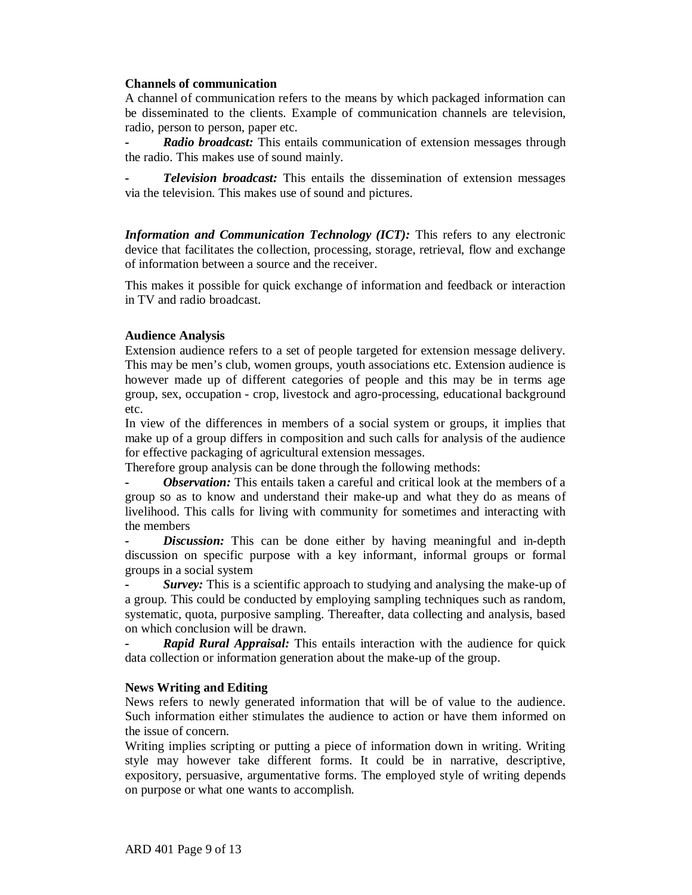#### **Channels of communication**

A channel of communication refers to the means by which packaged information can be disseminated to the clients. Example of communication channels are television, radio, person to person, paper etc.

*Radio broadcast:* This entails communication of extension messages through the radio. This makes use of sound mainly.

*Television broadcast:* This entails the dissemination of extension messages via the television. This makes use of sound and pictures.

*Information and Communication Technology (ICT):* This refers to any electronic device that facilitates the collection, processing, storage, retrieval, flow and exchange of information between a source and the receiver.

This makes it possible for quick exchange of information and feedback or interaction in TV and radio broadcast.

#### **Audience Analysis**

Extension audience refers to a set of people targeted for extension message delivery. This may be men's club, women groups, youth associations etc. Extension audience is however made up of different categories of people and this may be in terms age group, sex, occupation - crop, livestock and agro-processing, educational background etc.

In view of the differences in members of a social system or groups, it implies that make up of a group differs in composition and such calls for analysis of the audience for effective packaging of agricultural extension messages.

Therefore group analysis can be done through the following methods:

*Observation:* This entails taken a careful and critical look at the members of a group so as to know and understand their make-up and what they do as means of livelihood. This calls for living with community for sometimes and interacting with the members

*Discussion:* This can be done either by having meaningful and in-depth discussion on specific purpose with a key informant, informal groups or formal groups in a social system

*Survey*: This is a scientific approach to studying and analysing the make-up of a group. This could be conducted by employing sampling techniques such as random, systematic, quota, purposive sampling. Thereafter, data collecting and analysis, based on which conclusion will be drawn.

**Rapid Rural Appraisal:** This entails interaction with the audience for quick data collection or information generation about the make-up of the group.

#### **News Writing and Editing**

News refers to newly generated information that will be of value to the audience. Such information either stimulates the audience to action or have them informed on the issue of concern.

Writing implies scripting or putting a piece of information down in writing. Writing style may however take different forms. It could be in narrative, descriptive, expository, persuasive, argumentative forms. The employed style of writing depends on purpose or what one wants to accomplish.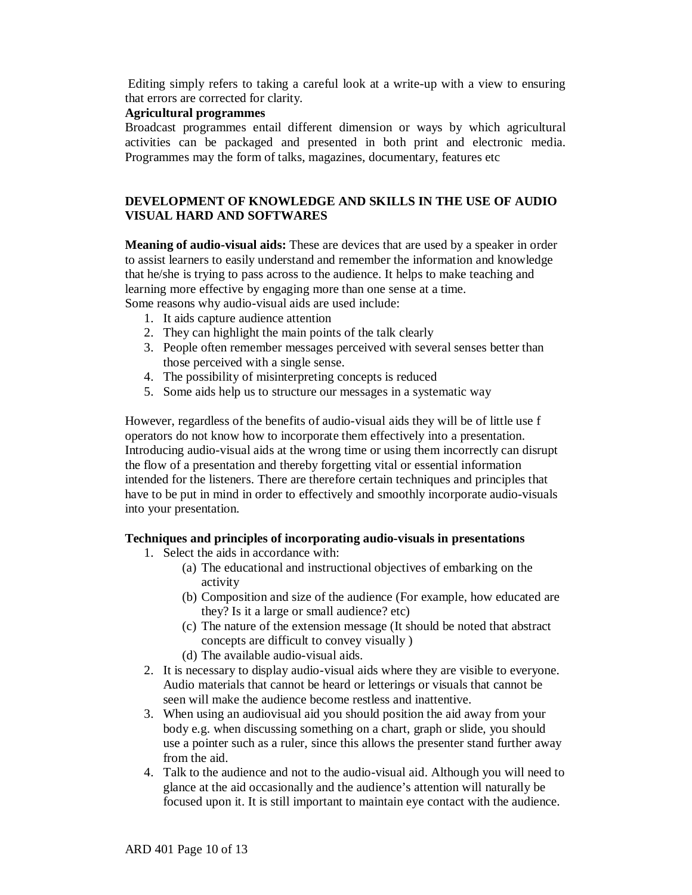Editing simply refers to taking a careful look at a write-up with a view to ensuring that errors are corrected for clarity.

## **Agricultural programmes**

Broadcast programmes entail different dimension or ways by which agricultural activities can be packaged and presented in both print and electronic media. Programmes may the form of talks, magazines, documentary, features etc

## **DEVELOPMENT OF KNOWLEDGE AND SKILLS IN THE USE OF AUDIO VISUAL HARD AND SOFTWARES**

**Meaning of audio-visual aids:** These are devices that are used by a speaker in order to assist learners to easily understand and remember the information and knowledge that he/she is trying to pass across to the audience. It helps to make teaching and learning more effective by engaging more than one sense at a time.

Some reasons why audio-visual aids are used include:

- 1. It aids capture audience attention
- 2. They can highlight the main points of the talk clearly
- 3. People often remember messages perceived with several senses better than those perceived with a single sense.
- 4. The possibility of misinterpreting concepts is reduced
- 5. Some aids help us to structure our messages in a systematic way

However, regardless of the benefits of audio-visual aids they will be of little use f operators do not know how to incorporate them effectively into a presentation. Introducing audio-visual aids at the wrong time or using them incorrectly can disrupt the flow of a presentation and thereby forgetting vital or essential information intended for the listeners. There are therefore certain techniques and principles that have to be put in mind in order to effectively and smoothly incorporate audio-visuals into your presentation.

#### **Techniques and principles of incorporating audio-visuals in presentations**

- 1. Select the aids in accordance with:
	- (a) The educational and instructional objectives of embarking on the activity
	- (b) Composition and size of the audience (For example, how educated are they? Is it a large or small audience? etc)
	- (c) The nature of the extension message (It should be noted that abstract concepts are difficult to convey visually )
	- (d) The available audio-visual aids.
- 2. It is necessary to display audio-visual aids where they are visible to everyone. Audio materials that cannot be heard or letterings or visuals that cannot be seen will make the audience become restless and inattentive.
- 3. When using an audiovisual aid you should position the aid away from your body e.g. when discussing something on a chart, graph or slide, you should use a pointer such as a ruler, since this allows the presenter stand further away from the aid.
- 4. Talk to the audience and not to the audio-visual aid. Although you will need to glance at the aid occasionally and the audience's attention will naturally be focused upon it. It is still important to maintain eye contact with the audience.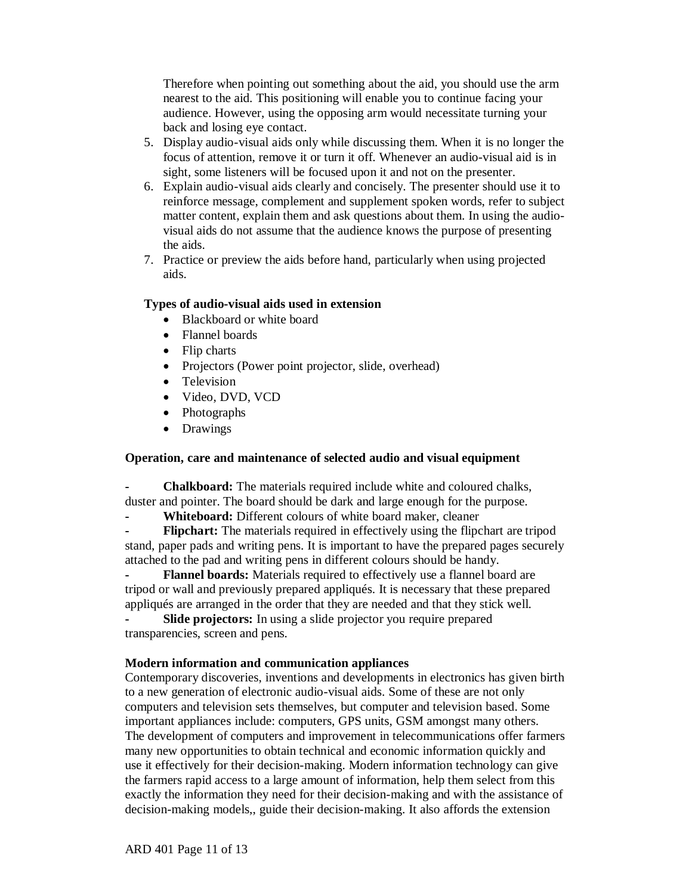Therefore when pointing out something about the aid, you should use the arm nearest to the aid. This positioning will enable you to continue facing your audience. However, using the opposing arm would necessitate turning your back and losing eye contact.

- 5. Display audio-visual aids only while discussing them. When it is no longer the focus of attention, remove it or turn it off. Whenever an audio-visual aid is in sight, some listeners will be focused upon it and not on the presenter.
- 6. Explain audio-visual aids clearly and concisely. The presenter should use it to reinforce message, complement and supplement spoken words, refer to subject matter content, explain them and ask questions about them. In using the audiovisual aids do not assume that the audience knows the purpose of presenting the aids.
- 7. Practice or preview the aids before hand, particularly when using projected aids.

#### **Types of audio-visual aids used in extension**

- Blackboard or white board
- Flannel boards
- Flip charts
- Projectors (Power point projector, slide, overhead)
- Television
- Video, DVD, VCD
- Photographs
- Drawings

#### **Operation, care and maintenance of selected audio and visual equipment**

**- Chalkboard:** The materials required include white and coloured chalks, duster and pointer. The board should be dark and large enough for the purpose.

**- Whiteboard:** Different colours of white board maker, cleaner

**- Flipchart:** The materials required in effectively using the flipchart are tripod stand, paper pads and writing pens. It is important to have the prepared pages securely attached to the pad and writing pens in different colours should be handy.

**- Flannel boards:** Materials required to effectively use a flannel board are tripod or wall and previously prepared appliqués. It is necessary that these prepared appliqués are arranged in the order that they are needed and that they stick well.

**- Slide projectors:** In using a slide projector you require prepared transparencies, screen and pens.

#### **Modern information and communication appliances**

Contemporary discoveries, inventions and developments in electronics has given birth to a new generation of electronic audio-visual aids. Some of these are not only computers and television sets themselves, but computer and television based. Some important appliances include: computers, GPS units, GSM amongst many others. The development of computers and improvement in telecommunications offer farmers many new opportunities to obtain technical and economic information quickly and use it effectively for their decision-making. Modern information technology can give the farmers rapid access to a large amount of information, help them select from this exactly the information they need for their decision-making and with the assistance of decision-making models,, guide their decision-making. It also affords the extension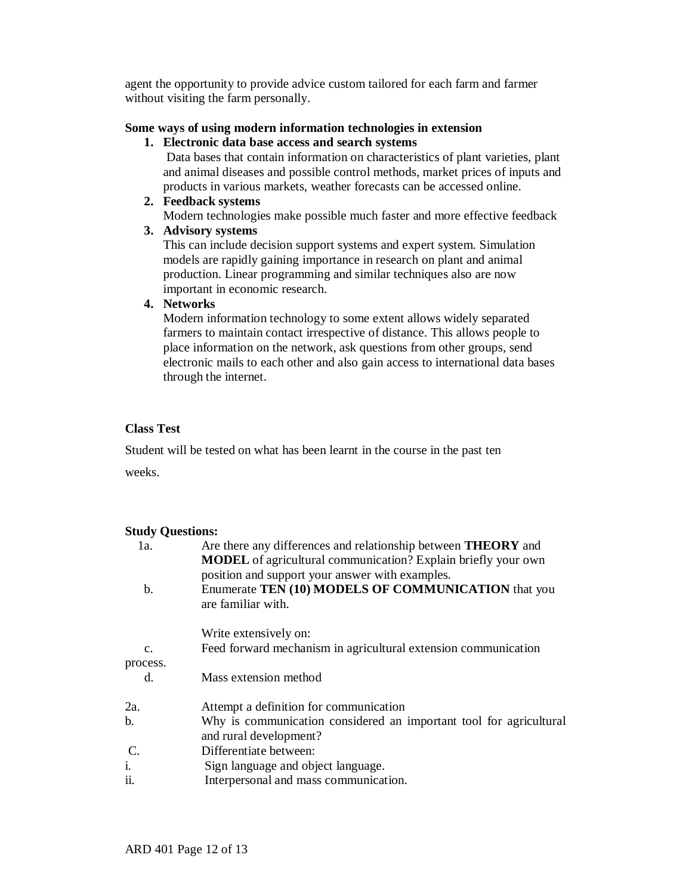agent the opportunity to provide advice custom tailored for each farm and farmer without visiting the farm personally.

### **Some ways of using modern information technologies in extension**

#### **1. Electronic data base access and search systems**

Data bases that contain information on characteristics of plant varieties, plant and animal diseases and possible control methods, market prices of inputs and products in various markets, weather forecasts can be accessed online.

**2. Feedback systems**

Modern technologies make possible much faster and more effective feedback

**3. Advisory systems**

This can include decision support systems and expert system. Simulation models are rapidly gaining importance in research on plant and animal production. Linear programming and similar techniques also are now important in economic research.

## **4. Networks**

Modern information technology to some extent allows widely separated farmers to maintain contact irrespective of distance. This allows people to place information on the network, ask questions from other groups, send electronic mails to each other and also gain access to international data bases through the internet.

## **Class Test**

Student will be tested on what has been learnt in the course in the past ten

weeks.

#### **Study Questions:**

| 1a.             | Are there any differences and relationship between <b>THEORY</b> and<br><b>MODEL</b> of agricultural communication? Explain briefly your own<br>position and support your answer with examples. |
|-----------------|-------------------------------------------------------------------------------------------------------------------------------------------------------------------------------------------------|
| b.              | Enumerate TEN (10) MODELS OF COMMUNICATION that you<br>are familiar with.                                                                                                                       |
|                 | Write extensively on:                                                                                                                                                                           |
| $\mathcal{C}$ . | Feed forward mechanism in agricultural extension communication                                                                                                                                  |
| process.        |                                                                                                                                                                                                 |
| d.              | Mass extension method                                                                                                                                                                           |
| 2a.             | Attempt a definition for communication                                                                                                                                                          |
| b.              | Why is communication considered an important tool for agricultural<br>and rural development?                                                                                                    |
| $\mathcal{C}$ . | Differentiate between:                                                                                                                                                                          |
| i.<br>ii.       | Sign language and object language.                                                                                                                                                              |
|                 | Interpersonal and mass communication.                                                                                                                                                           |
|                 |                                                                                                                                                                                                 |